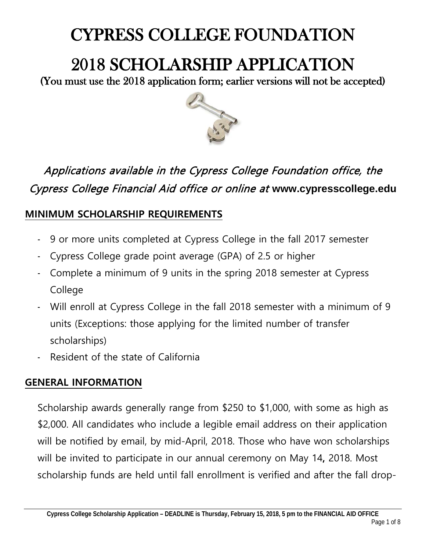## CYPRESS COLLEGE FOUNDATION

# 2018 SCHOLARSHIP APPLICATION<br>(You must use the 2018 application form; earlier versions will not be accepted)



### Applications available in the Cypress College Foundation office, the Cypress College Financial Aid office or online at **www.cypresscollege.edu**

#### **MINIMUM SCHOLARSHIP REQUIREMENTS**

- 9 or more units completed at Cypress College in the fall 2017 semester
- Cypress College grade point average (GPA) of 2.5 or higher
- Complete a minimum of 9 units in the spring 2018 semester at Cypress College
- Will enroll at Cypress College in the fall 2018 semester with a minimum of 9 units (Exceptions: those applying for the limited number of transfer scholarships)
- Resident of the state of California

#### **GENERAL INFORMATION**

Scholarship awards generally range from \$250 to \$1,000, with some as high as \$2,000. All candidates who include a legible email address on their application will be notified by email, by mid-April, 2018. Those who have won scholarships will be invited to participate in our annual ceremony on May 14**,** 2018. Most scholarship funds are held until fall enrollment is verified and after the fall drop-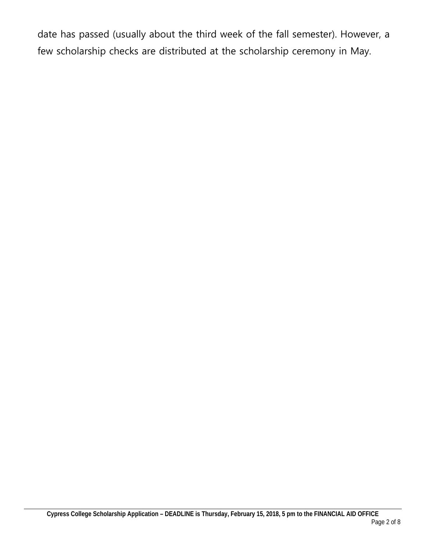date has passed (usually about the third week of the fall semester). However, a few scholarship checks are distributed at the scholarship ceremony in May.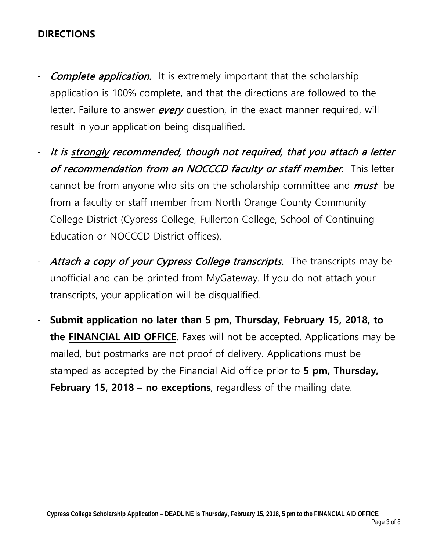#### **DIRECTIONS**

- Complete application. It is extremely important that the scholarship application is 100% complete, and that the directions are followed to the letter. Failure to answer *every* question, in the exact manner required, will result in your application being disqualified.
- It is strongly recommended, though not required, that you attach a letter of recommendation from an NOCCCD faculty or staff member. This letter cannot be from anyone who sits on the scholarship committee and *must* be from a faculty or staff member from North Orange County Community College District (Cypress College, Fullerton College, School of Continuing Education or NOCCCD District offices).
- Attach a copy of your Cypress College transcripts. The transcripts may be unofficial and can be printed from MyGateway. If you do not attach your transcripts, your application will be disqualified.
- **Submit application no later than 5 pm, Thursday, February 15, 2018, to the FINANCIAL AID OFFICE**. Faxes will not be accepted. Applications may be mailed, but postmarks are not proof of delivery. Applications must be stamped as accepted by the Financial Aid office prior to **5 pm, Thursday, February 15, 2018 – no exceptions**, regardless of the mailing date.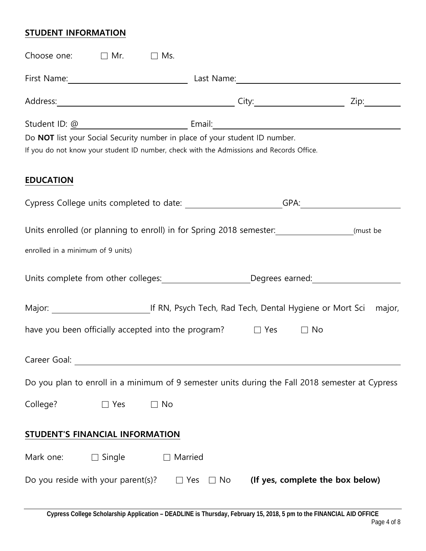#### **STUDENT INFORMATION**

| Choose one: $\Box$ Mr.<br>$\Box$ Ms.                                                                                                                                    |                                               |              |  |
|-------------------------------------------------------------------------------------------------------------------------------------------------------------------------|-----------------------------------------------|--------------|--|
|                                                                                                                                                                         |                                               |              |  |
|                                                                                                                                                                         |                                               | Zip:________ |  |
|                                                                                                                                                                         |                                               |              |  |
| Do NOT list your Social Security number in place of your student ID number.<br>If you do not know your student ID number, check with the Admissions and Records Office. |                                               |              |  |
| <b>EDUCATION</b>                                                                                                                                                        |                                               |              |  |
| Cypress College units completed to date: ______________________GPA:_____________                                                                                        |                                               |              |  |
| Units enrolled (or planning to enroll) in for Spring 2018 semester: ___________________(must be                                                                         |                                               |              |  |
| enrolled in a minimum of 9 units)                                                                                                                                       |                                               |              |  |
| Units complete from other colleges: Degrees earned: Degrees earned:                                                                                                     |                                               |              |  |
| Major: Major: Major: Major: Major: Major: Major: Mort Sci                                                                                                               |                                               | major,       |  |
| have you been officially accepted into the program? $\Box$ Yes<br>$\Box$ No                                                                                             |                                               |              |  |
| Career Goal:                                                                                                                                                            |                                               |              |  |
| Do you plan to enroll in a minimum of 9 semester units during the Fall 2018 semester at Cypress                                                                         |                                               |              |  |
| College?<br>$\Box$ No<br>$\Box$ Yes                                                                                                                                     |                                               |              |  |
| STUDENT'S FINANCIAL INFORMATION                                                                                                                                         |                                               |              |  |
| $\Box$ Single<br>Mark one:<br>Married                                                                                                                                   |                                               |              |  |
| Do you reside with your parent(s)?<br>$\Box$ Yes                                                                                                                        | (If yes, complete the box below)<br>$\Box$ No |              |  |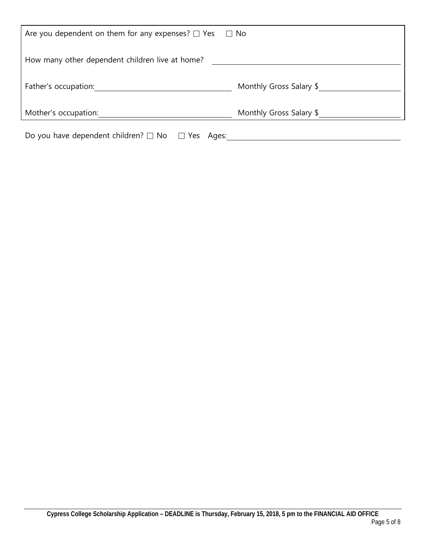| Are you dependent on them for any expenses? $\Box$ Yes $\Box$ No |                         |  |
|------------------------------------------------------------------|-------------------------|--|
| How many other dependent children live at home?                  |                         |  |
| Father's occupation:                                             | Monthly Gross Salary \$ |  |
| Mother's occupation:                                             | Monthly Gross Salary \$ |  |
| Do you have dependent children? $\Box$ No $\Box$<br>Yes<br>Ages: |                         |  |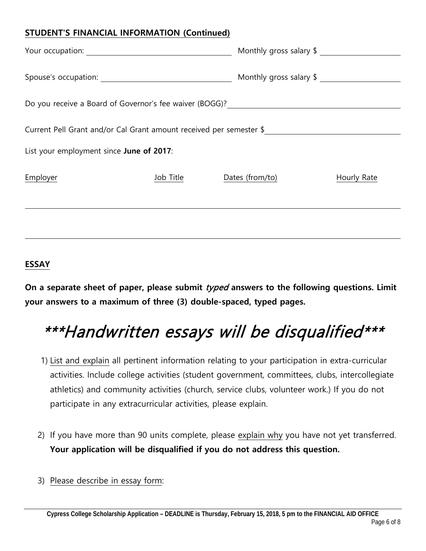#### **STUDENT'S FINANCIAL INFORMATION (Continued)**

|                                                                                  |           | Monthly gross salary \$ |             |
|----------------------------------------------------------------------------------|-----------|-------------------------|-------------|
|                                                                                  |           | Monthly gross salary \$ |             |
| Do you receive a Board of Governor's fee waiver (BOGG)? ________________________ |           |                         |             |
| Current Pell Grant and/or Cal Grant amount received per semester \$              |           |                         |             |
| List your employment since June of 2017:                                         |           |                         |             |
| Employer                                                                         | Job Title | Dates (from/to)         | Hourly Rate |
|                                                                                  |           |                         |             |

#### **ESSAY**

**On a separate sheet of paper, please submit** typed **answers to the following questions. Limit your answers to a maximum of three (3) double-spaced, typed pages.**

## \*\*\*Handwritten essays will be disqualified\*\*\*

- 1) List and explain all pertinent information relating to your participation in extra-curricular activities. Include college activities (student government, committees, clubs, intercollegiate athletics) and community activities (church, service clubs, volunteer work.) If you do not participate in any extracurricular activities, please explain.
- 2) If you have more than 90 units complete, please explain why you have not yet transferred. **Your application will be disqualified if you do not address this question.**
- 3) Please describe in essay form: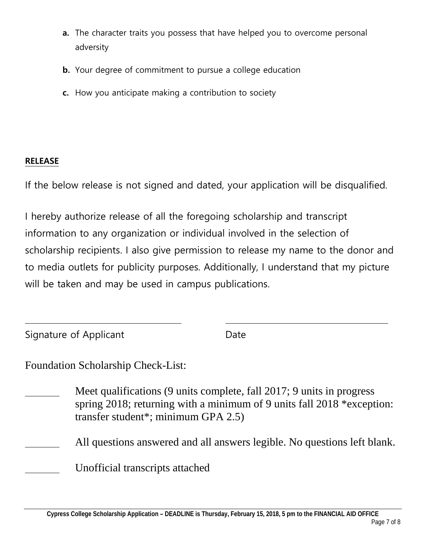- **a.** The character traits you possess that have helped you to overcome personal adversity
- **b.** Your degree of commitment to pursue a college education
- **c.** How you anticipate making a contribution to society

#### **RELEASE**

If the below release is not signed and dated, your application will be disqualified.

I hereby authorize release of all the foregoing scholarship and transcript information to any organization or individual involved in the selection of scholarship recipients. I also give permission to release my name to the donor and to media outlets for publicity purposes. Additionally, I understand that my picture will be taken and may be used in campus publications.

| Signature of Applicant | Date |
|------------------------|------|
|------------------------|------|

Foundation Scholarship Check-List:

- Meet qualifications (9 units complete, fall 2017; 9 units in progress spring 2018; returning with a minimum of 9 units fall 2018 \*exception: transfer student\*; minimum GPA 2.5)
- All questions answered and all answers legible. No questions left blank.

Unofficial transcripts attached